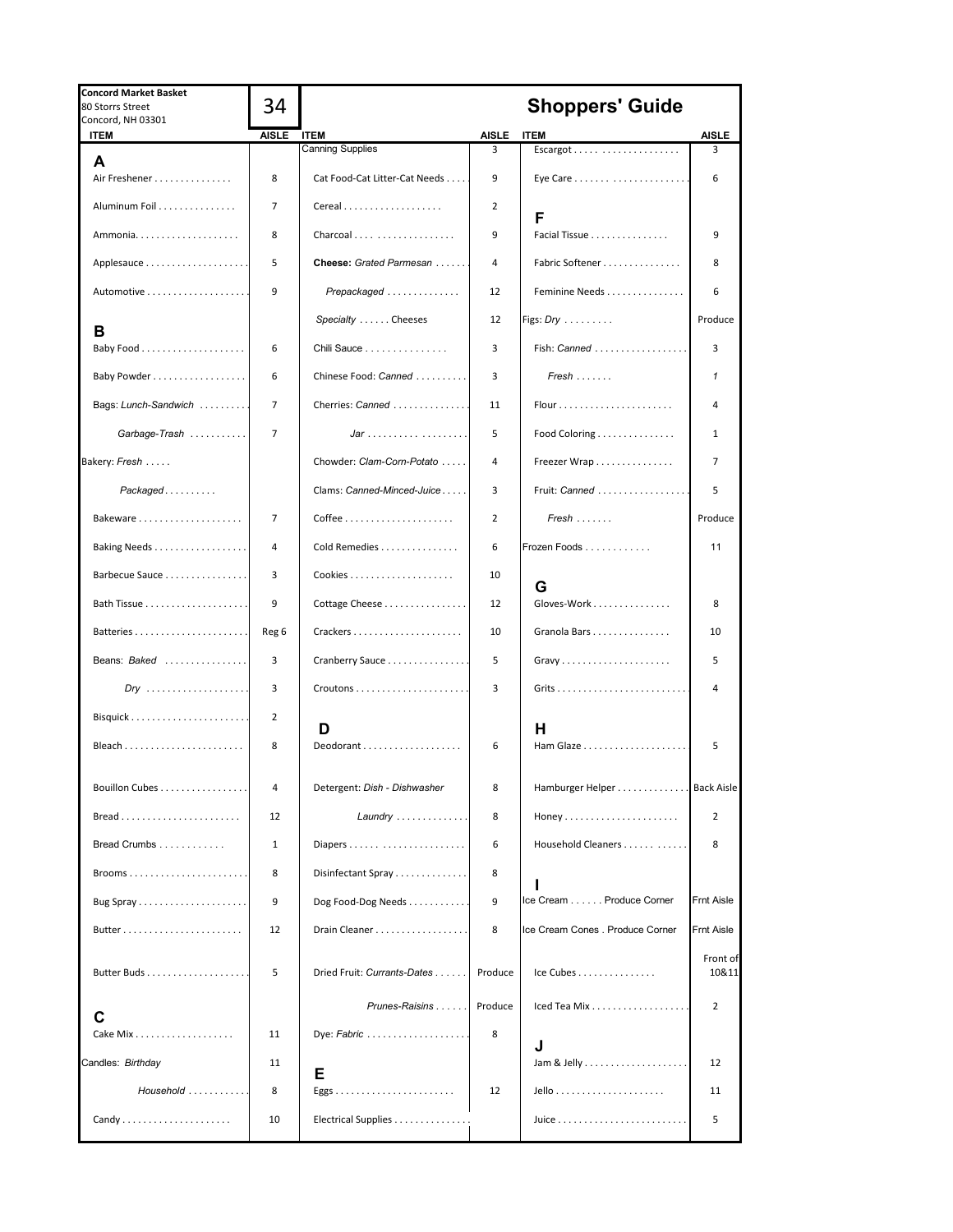| <b>Concord Market Basket</b><br>80 Storrs Street<br>Concord, NH 03301 | 34             |                               |                | <b>Shoppers' Guide</b>           |                |
|-----------------------------------------------------------------------|----------------|-------------------------------|----------------|----------------------------------|----------------|
| <b>ITEM</b>                                                           | <b>AISLE</b>   | <b>ITEM</b>                   | AISLE          | <b>ITEM</b>                      | AISLE          |
| A                                                                     |                | <b>Canning Supplies</b>       | 3              |                                  | 3              |
| Air Freshener                                                         | 8              | Cat Food-Cat Litter-Cat Needs | 9              |                                  | 6              |
| Aluminum Foil                                                         | $\overline{7}$ | Cereal                        | 2              | F                                |                |
| Ammonia                                                               | 8              | Charcoal                      | 9              | Facial Tissue                    | 9              |
|                                                                       | 5              | Cheese: Grated Parmesan       | 4              | Fabric Softener                  | 8              |
|                                                                       | 9              | Prepackaged                   | 12             | Feminine Needs                   | 6              |
| в                                                                     |                | Specialty  Cheeses            | 12             | Figs: $Dry$                      | Produce        |
|                                                                       | 6              | Chili Sauce                   | 3              | Fish: Canned                     | 3              |
| Baby Powder 1                                                         | 6              | Chinese Food: Canned          | 3              | $Fresh \ldots \ldots$            | 1              |
| Bags: Lunch-Sandwich                                                  | $\overline{7}$ | Cherries: Canned              | 11             |                                  | 4              |
| Garbage-Trash                                                         | $\overline{7}$ | $Jar$                         | 5              | Food Coloring                    | 1              |
| Bakery: Fresh                                                         |                | Chowder: Clam-Corn-Potato     | 4              | Freezer Wrap                     | 7              |
| $Packaged$                                                            |                | Clams: Canned-Minced-Juice    | 3              | Fruit: Canned                    | 5              |
| Bakeware                                                              | 7              |                               | $\overline{2}$ | $Fresh$                          | Produce        |
|                                                                       | 4              | Cold Remedies                 | 6              | Frozen Foods                     | 11             |
| Barbecue Sauce                                                        | 3              |                               | 10             | G                                |                |
|                                                                       | 9              | Cottage Cheese                | 12             | Gloves-Work                      | 8              |
|                                                                       | Reg 6          | Crackers                      | 10             | Granola Bars                     | 10             |
| Beans: Baked                                                          | 3              | Cranberry Sauce               | 5              | Gravy                            | 5              |
|                                                                       | 3              |                               | 3              |                                  |                |
|                                                                       | 2              | D                             |                | н                                |                |
| Bleach                                                                | 8              | Deodorant                     | 6              |                                  | 5              |
| Bouillon Cubes                                                        | 4              | Detergent: Dish - Dishwasher  | 8              | Hamburger Helper Back Aisle      |                |
| $Bread$                                                               | 12             | Laundry                       | 8              |                                  | $\overline{2}$ |
| Bread Crumbs                                                          | 1              | Diapers                       | 6              | Household Cleaners               | 8              |
| Brooms                                                                | 8              | Disinfectant Spray            | 8              |                                  |                |
|                                                                       | 9              | Dog Food-Dog Needs            | 9              | Ice Cream Produce Corner         | Frnt Aisle     |
|                                                                       | 12             | Drain Cleaner                 | 8              | Ice Cream Cones . Produce Corner | Frnt Aisle     |
|                                                                       |                |                               |                |                                  | Front of       |
|                                                                       | 5              | Dried Fruit: Currants-Dates   | Produce        | Ice Cubes                        | 10&11          |
|                                                                       |                | Prunes-Raisins                | Produce        | Iced Tea Mix                     | $\overline{2}$ |
| С<br>Cake Mix                                                         | 11             | Dye: Fabric                   | 8              |                                  |                |
| Candles: Birthday                                                     | 11             |                               |                | J                                | 12             |
| Household                                                             | 8              | Е                             | 12             |                                  | 11             |
| Candy                                                                 | 10             | Electrical Supplies           |                |                                  | 5              |
|                                                                       |                |                               |                |                                  |                |